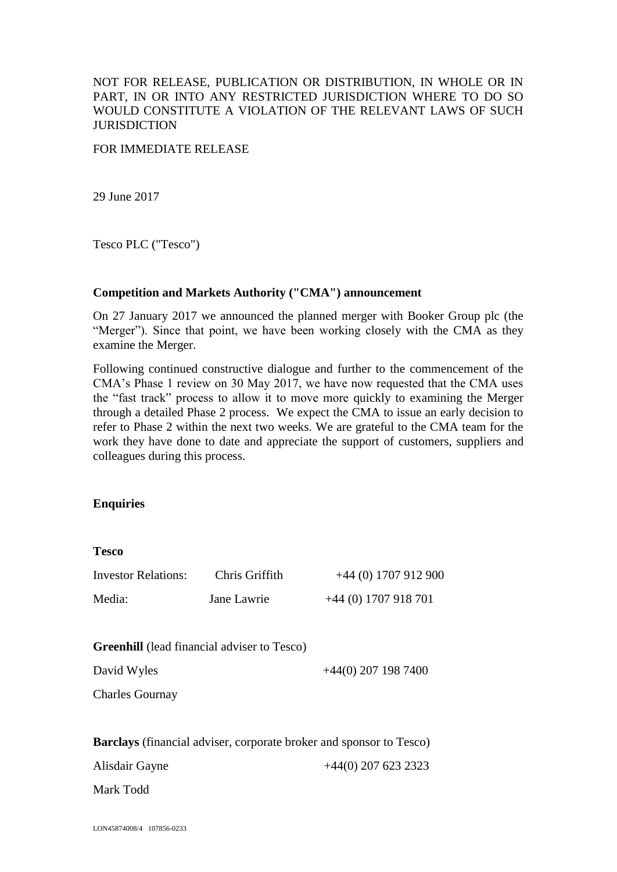# NOT FOR RELEASE, PUBLICATION OR DISTRIBUTION, IN WHOLE OR IN PART, IN OR INTO ANY RESTRICTED JURISDICTION WHERE TO DO SO WOULD CONSTITUTE A VIOLATION OF THE RELEVANT LAWS OF SUCH **JURISDICTION**

#### FOR IMMEDIATE RELEASE

29 June 2017

Tesco PLC ("Tesco")

### **Competition and Markets Authority ("CMA") announcement**

On 27 January 2017 we announced the planned merger with Booker Group plc (the "Merger"). Since that point, we have been working closely with the CMA as they examine the Merger.

Following continued constructive dialogue and further to the commencement of the CMA's Phase 1 review on 30 May 2017, we have now requested that the CMA uses the "fast track" process to allow it to move more quickly to examining the Merger through a detailed Phase 2 process. We expect the CMA to issue an early decision to refer to Phase 2 within the next two weeks. We are grateful to the CMA team for the work they have done to date and appreciate the support of customers, suppliers and colleagues during this process.

# **Enquiries**

| <b>Tesco</b>               |                                                    |                                                                            |
|----------------------------|----------------------------------------------------|----------------------------------------------------------------------------|
| <b>Investor Relations:</b> | Chris Griffith                                     | $+44(0)$ 1707 912 900                                                      |
| Media:                     | Jane Lawrie                                        | $+44$ (0) 1707 918 701                                                     |
|                            | <b>Greenhill</b> (lead financial adviser to Tesco) |                                                                            |
|                            |                                                    |                                                                            |
| David Wyles                |                                                    | $+44(0)$ 207 198 7400                                                      |
| <b>Charles Gournay</b>     |                                                    |                                                                            |
|                            |                                                    | <b>Barclays</b> (financial adviser, corporate broker and sponsor to Tesco) |
| Alisdair Gayne             |                                                    | $+44(0)$ 207 623 2323                                                      |
| Mark Todd                  |                                                    |                                                                            |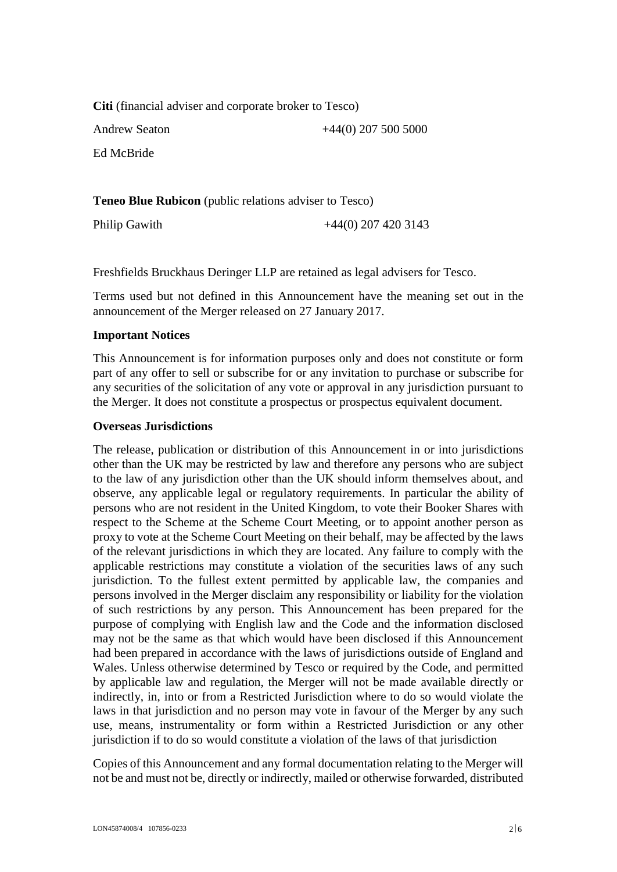| Citi (financial adviser and corporate broker to Tesco)        |                       |
|---------------------------------------------------------------|-----------------------|
| <b>Andrew Seaton</b>                                          | $+44(0)$ 207 500 5000 |
| Ed McBride                                                    |                       |
|                                                               |                       |
| <b>Teneo Blue Rubicon</b> (public relations adviser to Tesco) |                       |
| <b>Philip Gawith</b>                                          | $+44(0)$ 207 420 3143 |

Freshfields Bruckhaus Deringer LLP are retained as legal advisers for Tesco.

Terms used but not defined in this Announcement have the meaning set out in the announcement of the Merger released on 27 January 2017.

#### **Important Notices**

This Announcement is for information purposes only and does not constitute or form part of any offer to sell or subscribe for or any invitation to purchase or subscribe for any securities of the solicitation of any vote or approval in any jurisdiction pursuant to the Merger. It does not constitute a prospectus or prospectus equivalent document.

### **Overseas Jurisdictions**

The release, publication or distribution of this Announcement in or into jurisdictions other than the UK may be restricted by law and therefore any persons who are subject to the law of any jurisdiction other than the UK should inform themselves about, and observe, any applicable legal or regulatory requirements. In particular the ability of persons who are not resident in the United Kingdom, to vote their Booker Shares with respect to the Scheme at the Scheme Court Meeting, or to appoint another person as proxy to vote at the Scheme Court Meeting on their behalf, may be affected by the laws of the relevant jurisdictions in which they are located. Any failure to comply with the applicable restrictions may constitute a violation of the securities laws of any such jurisdiction. To the fullest extent permitted by applicable law, the companies and persons involved in the Merger disclaim any responsibility or liability for the violation of such restrictions by any person. This Announcement has been prepared for the purpose of complying with English law and the Code and the information disclosed may not be the same as that which would have been disclosed if this Announcement had been prepared in accordance with the laws of jurisdictions outside of England and Wales. Unless otherwise determined by Tesco or required by the Code, and permitted by applicable law and regulation, the Merger will not be made available directly or indirectly, in, into or from a Restricted Jurisdiction where to do so would violate the laws in that jurisdiction and no person may vote in favour of the Merger by any such use, means, instrumentality or form within a Restricted Jurisdiction or any other jurisdiction if to do so would constitute a violation of the laws of that jurisdiction

Copies of this Announcement and any formal documentation relating to the Merger will not be and must not be, directly or indirectly, mailed or otherwise forwarded, distributed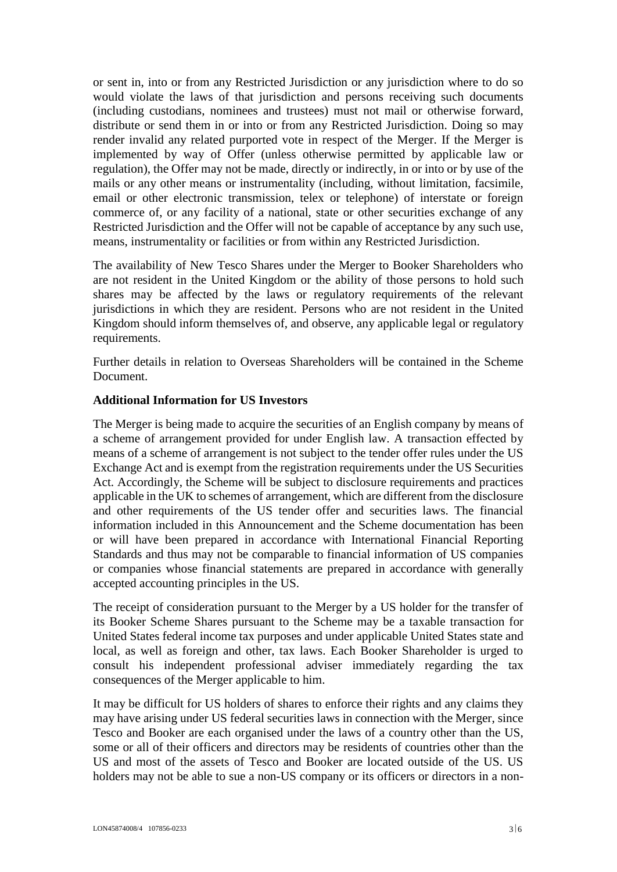or sent in, into or from any Restricted Jurisdiction or any jurisdiction where to do so would violate the laws of that jurisdiction and persons receiving such documents (including custodians, nominees and trustees) must not mail or otherwise forward, distribute or send them in or into or from any Restricted Jurisdiction. Doing so may render invalid any related purported vote in respect of the Merger. If the Merger is implemented by way of Offer (unless otherwise permitted by applicable law or regulation), the Offer may not be made, directly or indirectly, in or into or by use of the mails or any other means or instrumentality (including, without limitation, facsimile, email or other electronic transmission, telex or telephone) of interstate or foreign commerce of, or any facility of a national, state or other securities exchange of any Restricted Jurisdiction and the Offer will not be capable of acceptance by any such use, means, instrumentality or facilities or from within any Restricted Jurisdiction.

The availability of New Tesco Shares under the Merger to Booker Shareholders who are not resident in the United Kingdom or the ability of those persons to hold such shares may be affected by the laws or regulatory requirements of the relevant jurisdictions in which they are resident. Persons who are not resident in the United Kingdom should inform themselves of, and observe, any applicable legal or regulatory requirements.

Further details in relation to Overseas Shareholders will be contained in the Scheme Document.

### **Additional Information for US Investors**

The Merger is being made to acquire the securities of an English company by means of a scheme of arrangement provided for under English law. A transaction effected by means of a scheme of arrangement is not subject to the tender offer rules under the US Exchange Act and is exempt from the registration requirements under the US Securities Act. Accordingly, the Scheme will be subject to disclosure requirements and practices applicable in the UK to schemes of arrangement, which are different from the disclosure and other requirements of the US tender offer and securities laws. The financial information included in this Announcement and the Scheme documentation has been or will have been prepared in accordance with International Financial Reporting Standards and thus may not be comparable to financial information of US companies or companies whose financial statements are prepared in accordance with generally accepted accounting principles in the US.

The receipt of consideration pursuant to the Merger by a US holder for the transfer of its Booker Scheme Shares pursuant to the Scheme may be a taxable transaction for United States federal income tax purposes and under applicable United States state and local, as well as foreign and other, tax laws. Each Booker Shareholder is urged to consult his independent professional adviser immediately regarding the tax consequences of the Merger applicable to him.

It may be difficult for US holders of shares to enforce their rights and any claims they may have arising under US federal securities laws in connection with the Merger, since Tesco and Booker are each organised under the laws of a country other than the US, some or all of their officers and directors may be residents of countries other than the US and most of the assets of Tesco and Booker are located outside of the US. US holders may not be able to sue a non-US company or its officers or directors in a non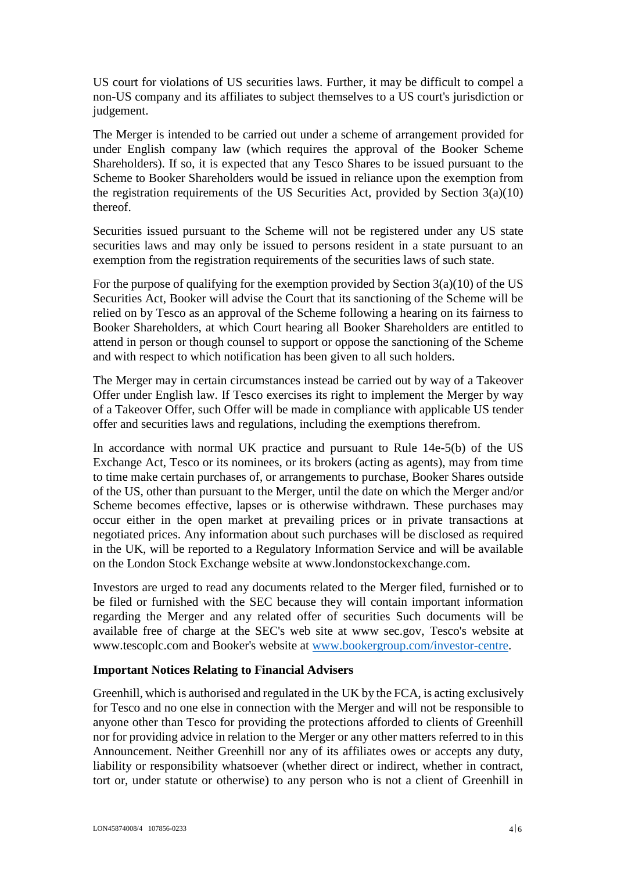US court for violations of US securities laws. Further, it may be difficult to compel a non-US company and its affiliates to subject themselves to a US court's jurisdiction or judgement.

The Merger is intended to be carried out under a scheme of arrangement provided for under English company law (which requires the approval of the Booker Scheme Shareholders). If so, it is expected that any Tesco Shares to be issued pursuant to the Scheme to Booker Shareholders would be issued in reliance upon the exemption from the registration requirements of the US Securities Act, provided by Section  $3(a)(10)$ thereof.

Securities issued pursuant to the Scheme will not be registered under any US state securities laws and may only be issued to persons resident in a state pursuant to an exemption from the registration requirements of the securities laws of such state.

For the purpose of qualifying for the exemption provided by Section  $3(a)(10)$  of the US Securities Act, Booker will advise the Court that its sanctioning of the Scheme will be relied on by Tesco as an approval of the Scheme following a hearing on its fairness to Booker Shareholders, at which Court hearing all Booker Shareholders are entitled to attend in person or though counsel to support or oppose the sanctioning of the Scheme and with respect to which notification has been given to all such holders.

The Merger may in certain circumstances instead be carried out by way of a Takeover Offer under English law. If Tesco exercises its right to implement the Merger by way of a Takeover Offer, such Offer will be made in compliance with applicable US tender offer and securities laws and regulations, including the exemptions therefrom.

In accordance with normal UK practice and pursuant to Rule 14e-5(b) of the US Exchange Act, Tesco or its nominees, or its brokers (acting as agents), may from time to time make certain purchases of, or arrangements to purchase, Booker Shares outside of the US, other than pursuant to the Merger, until the date on which the Merger and/or Scheme becomes effective, lapses or is otherwise withdrawn. These purchases may occur either in the open market at prevailing prices or in private transactions at negotiated prices. Any information about such purchases will be disclosed as required in the UK, will be reported to a Regulatory Information Service and will be available on the London Stock Exchange website at www.londonstockexchange.com.

Investors are urged to read any documents related to the Merger filed, furnished or to be filed or furnished with the SEC because they will contain important information regarding the Merger and any related offer of securities Such documents will be available free of charge at the SEC's web site at www sec.gov, Tesco's website at www.tescoplc.com and Booker's website at [www.bookergroup.com/investor-centre.](http://www.bookergroup.com/investor-centre)

# **Important Notices Relating to Financial Advisers**

Greenhill, which is authorised and regulated in the UK by the FCA, is acting exclusively for Tesco and no one else in connection with the Merger and will not be responsible to anyone other than Tesco for providing the protections afforded to clients of Greenhill nor for providing advice in relation to the Merger or any other matters referred to in this Announcement. Neither Greenhill nor any of its affiliates owes or accepts any duty, liability or responsibility whatsoever (whether direct or indirect, whether in contract, tort or, under statute or otherwise) to any person who is not a client of Greenhill in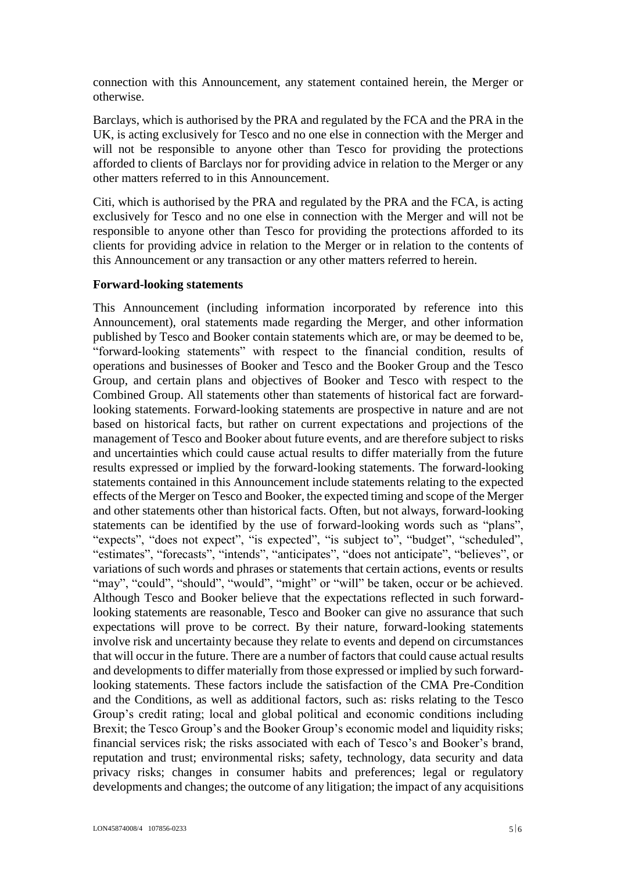connection with this Announcement, any statement contained herein, the Merger or otherwise.

Barclays, which is authorised by the PRA and regulated by the FCA and the PRA in the UK, is acting exclusively for Tesco and no one else in connection with the Merger and will not be responsible to anyone other than Tesco for providing the protections afforded to clients of Barclays nor for providing advice in relation to the Merger or any other matters referred to in this Announcement.

Citi, which is authorised by the PRA and regulated by the PRA and the FCA, is acting exclusively for Tesco and no one else in connection with the Merger and will not be responsible to anyone other than Tesco for providing the protections afforded to its clients for providing advice in relation to the Merger or in relation to the contents of this Announcement or any transaction or any other matters referred to herein.

#### **Forward-looking statements**

This Announcement (including information incorporated by reference into this Announcement), oral statements made regarding the Merger, and other information published by Tesco and Booker contain statements which are, or may be deemed to be, "forward-looking statements" with respect to the financial condition, results of operations and businesses of Booker and Tesco and the Booker Group and the Tesco Group, and certain plans and objectives of Booker and Tesco with respect to the Combined Group. All statements other than statements of historical fact are forwardlooking statements. Forward-looking statements are prospective in nature and are not based on historical facts, but rather on current expectations and projections of the management of Tesco and Booker about future events, and are therefore subject to risks and uncertainties which could cause actual results to differ materially from the future results expressed or implied by the forward-looking statements. The forward-looking statements contained in this Announcement include statements relating to the expected effects of the Merger on Tesco and Booker, the expected timing and scope of the Merger and other statements other than historical facts. Often, but not always, forward-looking statements can be identified by the use of forward-looking words such as "plans", "expects", "does not expect", "is expected", "is subject to", "budget", "scheduled", "estimates", "forecasts", "intends", "anticipates", "does not anticipate", "believes", or variations of such words and phrases or statements that certain actions, events or results "may", "could", "should", "would", "might" or "will" be taken, occur or be achieved. Although Tesco and Booker believe that the expectations reflected in such forwardlooking statements are reasonable, Tesco and Booker can give no assurance that such expectations will prove to be correct. By their nature, forward-looking statements involve risk and uncertainty because they relate to events and depend on circumstances that will occur in the future. There are a number of factors that could cause actual results and developments to differ materially from those expressed or implied by such forwardlooking statements. These factors include the satisfaction of the CMA Pre-Condition and the Conditions, as well as additional factors, such as: risks relating to the Tesco Group's credit rating; local and global political and economic conditions including Brexit; the Tesco Group's and the Booker Group's economic model and liquidity risks; financial services risk; the risks associated with each of Tesco's and Booker's brand, reputation and trust; environmental risks; safety, technology, data security and data privacy risks; changes in consumer habits and preferences; legal or regulatory developments and changes; the outcome of any litigation; the impact of any acquisitions